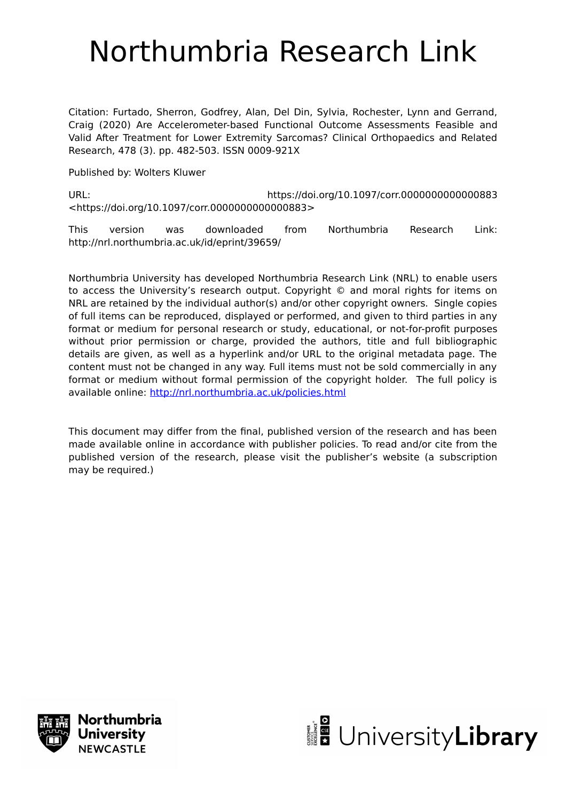# Northumbria Research Link

Citation: Furtado, Sherron, Godfrey, Alan, Del Din, Sylvia, Rochester, Lynn and Gerrand, Craig (2020) Are Accelerometer-based Functional Outcome Assessments Feasible and Valid After Treatment for Lower Extremity Sarcomas? Clinical Orthopaedics and Related Research, 478 (3). pp. 482-503. ISSN 0009-921X

Published by: Wolters Kluwer

URL: https://doi.org/10.1097/corr.0000000000000883 <https://doi.org/10.1097/corr.0000000000000883>

This version was downloaded from Northumbria Research Link: http://nrl.northumbria.ac.uk/id/eprint/39659/

Northumbria University has developed Northumbria Research Link (NRL) to enable users to access the University's research output. Copyright © and moral rights for items on NRL are retained by the individual author(s) and/or other copyright owners. Single copies of full items can be reproduced, displayed or performed, and given to third parties in any format or medium for personal research or study, educational, or not-for-profit purposes without prior permission or charge, provided the authors, title and full bibliographic details are given, as well as a hyperlink and/or URL to the original metadata page. The content must not be changed in any way. Full items must not be sold commercially in any format or medium without formal permission of the copyright holder. The full policy is available online:<http://nrl.northumbria.ac.uk/policies.html>

This document may differ from the final, published version of the research and has been made available online in accordance with publisher policies. To read and/or cite from the published version of the research, please visit the publisher's website (a subscription may be required.)



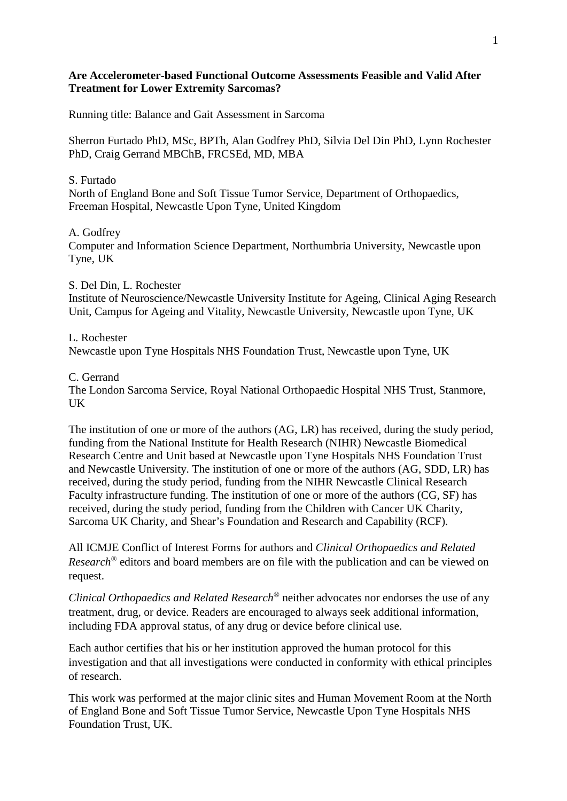# **Are Accelerometer-based Functional Outcome Assessments Feasible and Valid After Treatment for Lower Extremity Sarcomas?**

Running title: Balance and Gait Assessment in Sarcoma

Sherron Furtado PhD, MSc, BPTh, Alan Godfrey PhD, Silvia Del Din PhD, Lynn Rochester PhD, Craig Gerrand MBChB, FRCSEd, MD, MBA

S. Furtado North of England Bone and Soft Tissue Tumor Service, Department of Orthopaedics, Freeman Hospital, Newcastle Upon Tyne, United Kingdom

# A. Godfrey

Computer and Information Science Department, Northumbria University, Newcastle upon Tyne, UK

# S. Del Din, L. Rochester

Institute of Neuroscience/Newcastle University Institute for Ageing, Clinical Aging Research Unit, Campus for Ageing and Vitality, Newcastle University, Newcastle upon Tyne, UK

L. Rochester Newcastle upon Tyne Hospitals NHS Foundation Trust, Newcastle upon Tyne, UK

#### C. Gerrand

The London Sarcoma Service, Royal National Orthopaedic Hospital NHS Trust, Stanmore, UK

The institution of one or more of the authors (AG, LR) has received, during the study period, funding from the National Institute for Health Research (NIHR) Newcastle Biomedical Research Centre and Unit based at Newcastle upon Tyne Hospitals NHS Foundation Trust and Newcastle University. The institution of one or more of the authors (AG, SDD, LR) has received, during the study period, funding from the NIHR Newcastle Clinical Research Faculty infrastructure funding. The institution of one or more of the authors (CG, SF) has received, during the study period, funding from the Children with Cancer UK Charity, Sarcoma UK Charity, and Shear's Foundation and Research and Capability (RCF).

All ICMJE Conflict of Interest Forms for authors and *Clinical Orthopaedics and Related Research®* editors and board members are on file with the publication and can be viewed on request.

*Clinical Orthopaedics and Related Research®* neither advocates nor endorses the use of any treatment, drug, or device. Readers are encouraged to always seek additional information, including FDA approval status, of any drug or device before clinical use.

Each author certifies that his or her institution approved the human protocol for this investigation and that all investigations were conducted in conformity with ethical principles of research.

This work was performed at the major clinic sites and Human Movement Room at the North of England Bone and Soft Tissue Tumor Service, Newcastle Upon Tyne Hospitals NHS Foundation Trust, UK.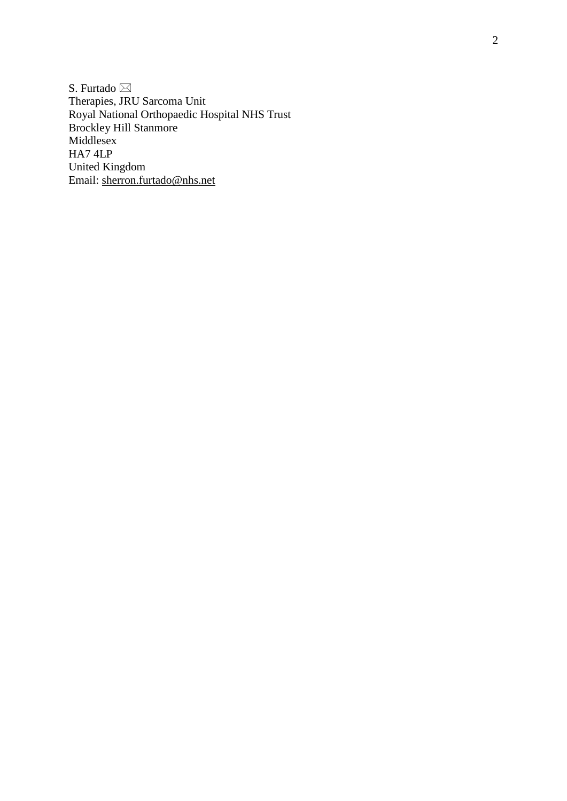S. Furtado ⊠ Therapies, JRU Sarcoma Unit Royal National Orthopaedic Hospital NHS Trust Brockley Hill Stanmore Middlesex HA7 4LP United Kingdom Email: [sherron.furtado@nhs.net](mailto:sherron.furtado@nhs.net)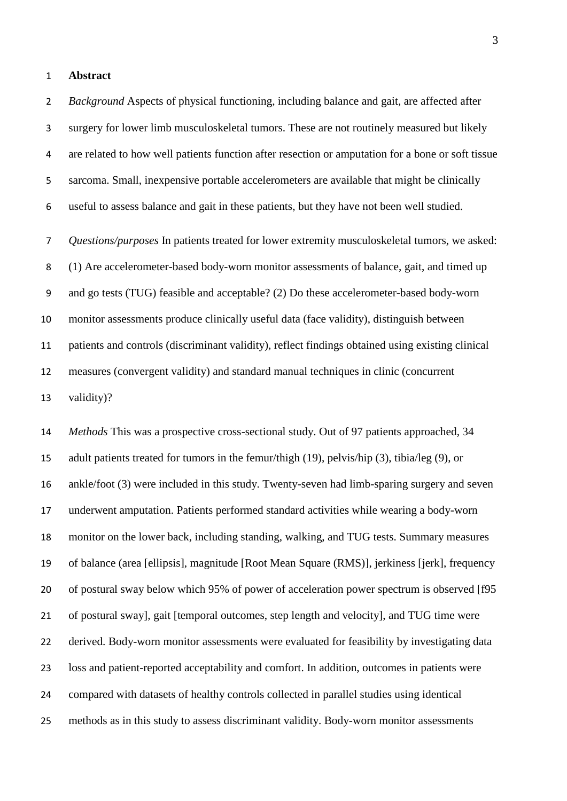#### **Abstract**

 *Background* Aspects of physical functioning, including balance and gait, are affected after surgery for lower limb musculoskeletal tumors. These are not routinely measured but likely are related to how well patients function after resection or amputation for a bone or soft tissue sarcoma. Small, inexpensive portable accelerometers are available that might be clinically useful to assess balance and gait in these patients, but they have not been well studied.

 *Questions/purposes* In patients treated for lower extremity musculoskeletal tumors, we asked: (1) Are accelerometer-based body-worn monitor assessments of balance, gait, and timed up and go tests (TUG) feasible and acceptable? (2) Do these accelerometer-based body-worn monitor assessments produce clinically useful data (face validity), distinguish between patients and controls (discriminant validity), reflect findings obtained using existing clinical measures (convergent validity) and standard manual techniques in clinic (concurrent validity)?

 *Methods* This was a prospective cross-sectional study. Out of 97 patients approached, 34 adult patients treated for tumors in the femur/thigh (19), pelvis/hip (3), tibia/leg (9), or ankle/foot (3) were included in this study. Twenty-seven had limb-sparing surgery and seven underwent amputation. Patients performed standard activities while wearing a body-worn monitor on the lower back, including standing, walking, and TUG tests. Summary measures of balance (area [ellipsis], magnitude [Root Mean Square (RMS)], jerkiness [jerk], frequency of postural sway below which 95% of power of acceleration power spectrum is observed [f95 of postural sway], gait [temporal outcomes, step length and velocity], and TUG time were derived. Body-worn monitor assessments were evaluated for feasibility by investigating data loss and patient-reported acceptability and comfort. In addition, outcomes in patients were compared with datasets of healthy controls collected in parallel studies using identical methods as in this study to assess discriminant validity. Body-worn monitor assessments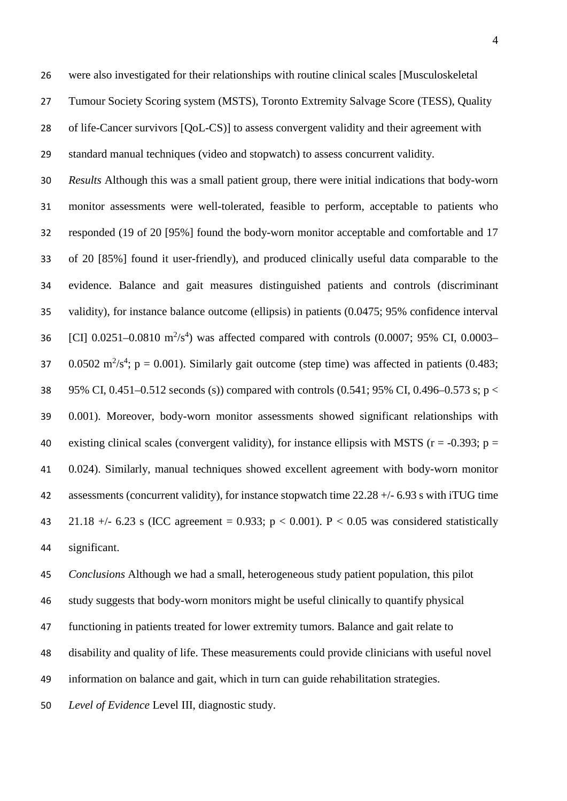were also investigated for their relationships with routine clinical scales [Musculoskeletal Tumour Society Scoring system (MSTS), Toronto Extremity Salvage Score (TESS), Quality of life-Cancer survivors [QoL-CS)] to assess convergent validity and their agreement with standard manual techniques (video and stopwatch) to assess concurrent validity.

 *Results* Although this was a small patient group, there were initial indications that body-worn monitor assessments were well-tolerated, feasible to perform, acceptable to patients who responded (19 of 20 [95%] found the body-worn monitor acceptable and comfortable and 17 of 20 [85%] found it user-friendly), and produced clinically useful data comparable to the evidence. Balance and gait measures distinguished patients and controls (discriminant validity), for instance balance outcome (ellipsis) in patients (0.0475; 95% confidence interval 36 [CI] 0.0251-0.0810  $\text{m}^2/\text{s}^4$ ) was affected compared with controls (0.0007; 95% CI, 0.0003-37 0.0502 m<sup>2</sup>/s<sup>4</sup>; p = 0.001). Similarly gait outcome (step time) was affected in patients (0.483; 95% CI, 0.451–0.512 seconds (s)) compared with controls (0.541; 95% CI, 0.496–0.573 s; p < 0.001). Moreover, body-worn monitor assessments showed significant relationships with 40 existing clinical scales (convergent validity), for instance ellipsis with MSTS ( $r = -0.393$ ;  $p =$  0.024). Similarly, manual techniques showed excellent agreement with body-worn monitor assessments (concurrent validity), for instance stopwatch time 22.28 +/- 6.93 s with iTUG time 43 21.18 +/- 6.23 s (ICC agreement = 0.933;  $p < 0.001$ ). P  $< 0.05$  was considered statistically significant.

 *Conclusions* Although we had a small, heterogeneous study patient population, this pilot study suggests that body-worn monitors might be useful clinically to quantify physical functioning in patients treated for lower extremity tumors. Balance and gait relate to disability and quality of life. These measurements could provide clinicians with useful novel information on balance and gait, which in turn can guide rehabilitation strategies.

*Level of Evidence* Level III, diagnostic study.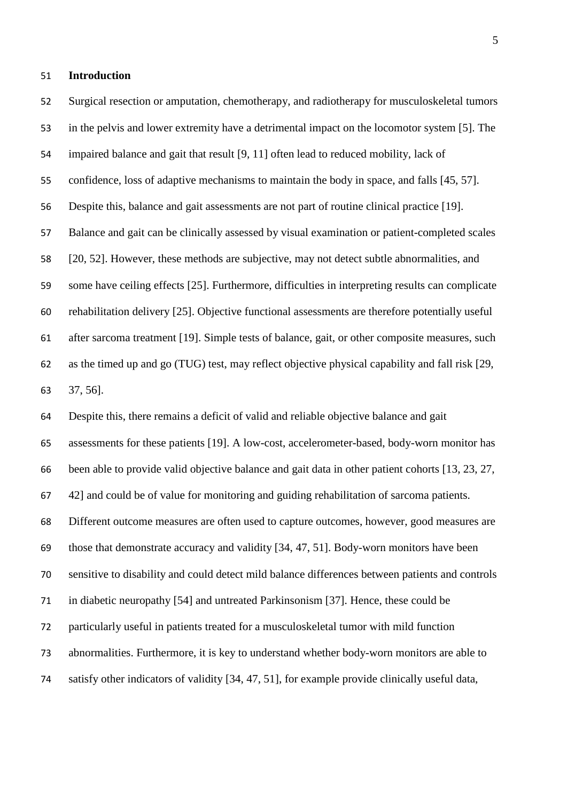#### **Introduction**

 Surgical resection or amputation, chemotherapy, and radiotherapy for musculoskeletal tumors in the pelvis and lower extremity have a detrimental impact on the locomotor system [5]. The impaired balance and gait that result [9, 11] often lead to reduced mobility, lack of confidence, loss of adaptive mechanisms to maintain the body in space, and falls [45, 57]. Despite this, balance and gait assessments are not part of routine clinical practice [19]. Balance and gait can be clinically assessed by visual examination or patient-completed scales [20, 52]. However, these methods are subjective, may not detect subtle abnormalities, and some have ceiling effects [25]. Furthermore, difficulties in interpreting results can complicate rehabilitation delivery [25]. Objective functional assessments are therefore potentially useful after sarcoma treatment [19]. Simple tests of balance, gait, or other composite measures, such as the timed up and go (TUG) test, may reflect objective physical capability and fall risk [29, 37, 56].

 Despite this, there remains a deficit of valid and reliable objective balance and gait assessments for these patients [19]. A low-cost, accelerometer-based, body-worn monitor has been able to provide valid objective balance and gait data in other patient cohorts [13, 23, 27, 42] and could be of value for monitoring and guiding rehabilitation of sarcoma patients. Different outcome measures are often used to capture outcomes, however, good measures are those that demonstrate accuracy and validity [34, 47, 51]. Body-worn monitors have been sensitive to disability and could detect mild balance differences between patients and controls in diabetic neuropathy [54] and untreated Parkinsonism [37]. Hence, these could be particularly useful in patients treated for a musculoskeletal tumor with mild function abnormalities. Furthermore, it is key to understand whether body-worn monitors are able to satisfy other indicators of validity [34, 47, 51], for example provide clinically useful data,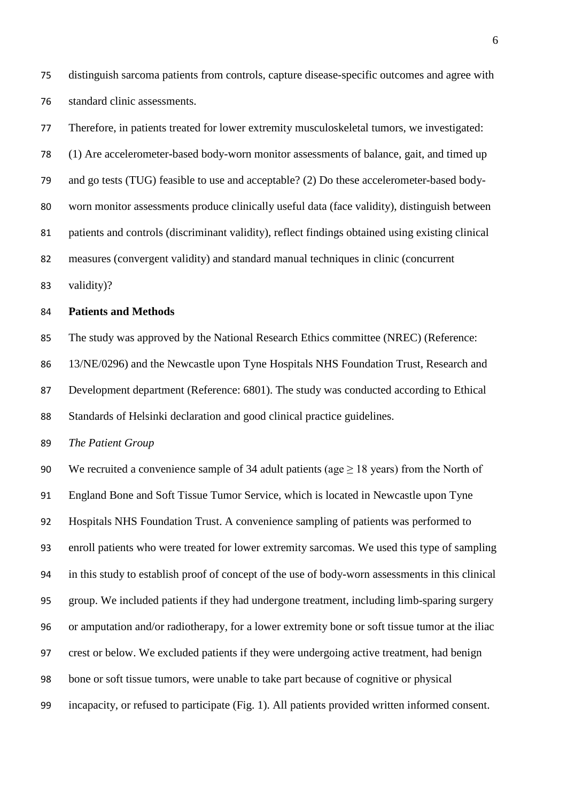distinguish sarcoma patients from controls, capture disease-specific outcomes and agree with standard clinic assessments.

 Therefore, in patients treated for lower extremity musculoskeletal tumors, we investigated: (1) Are accelerometer-based body-worn monitor assessments of balance, gait, and timed up and go tests (TUG) feasible to use and acceptable? (2) Do these accelerometer-based body- worn monitor assessments produce clinically useful data (face validity), distinguish between patients and controls (discriminant validity), reflect findings obtained using existing clinical measures (convergent validity) and standard manual techniques in clinic (concurrent

validity)?

#### **Patients and Methods**

 The study was approved by the National Research Ethics committee (NREC) (Reference: 13/NE/0296) and the Newcastle upon Tyne Hospitals NHS Foundation Trust, Research and

Development department (Reference: 6801). The study was conducted according to Ethical

Standards of Helsinki declaration and good clinical practice guidelines.

*The Patient Group*

90 We recruited a convenience sample of 34 adult patients (age  $\geq$  18 years) from the North of England Bone and Soft Tissue Tumor Service, which is located in Newcastle upon Tyne Hospitals NHS Foundation Trust. A convenience sampling of patients was performed to enroll patients who were treated for lower extremity sarcomas. We used this type of sampling in this study to establish proof of concept of the use of body-worn assessments in this clinical group. We included patients if they had undergone treatment, including limb-sparing surgery or amputation and/or radiotherapy, for a lower extremity bone or soft tissue tumor at the iliac crest or below. We excluded patients if they were undergoing active treatment, had benign bone or soft tissue tumors, were unable to take part because of cognitive or physical incapacity, or refused to participate (Fig. 1). All patients provided written informed consent.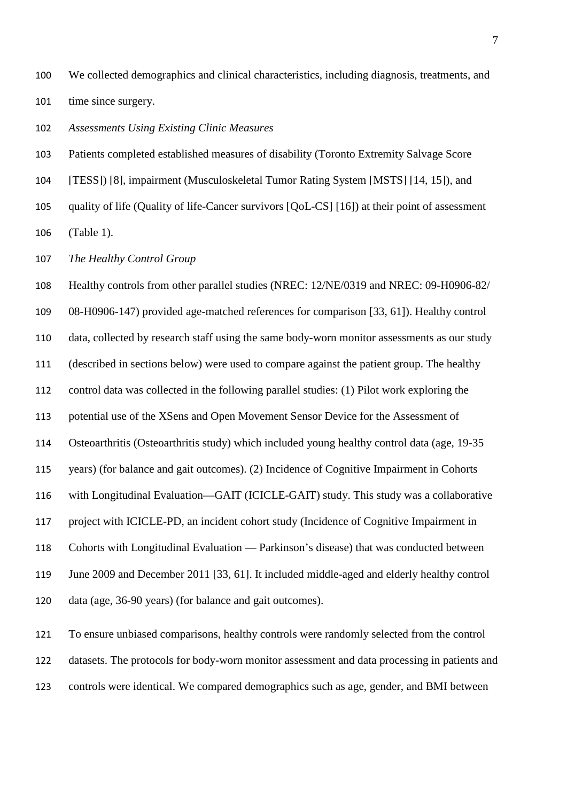We collected demographics and clinical characteristics, including diagnosis, treatments, and 101 time since surgery.

*Assessments Using Existing Clinic Measures*

Patients completed established measures of disability (Toronto Extremity Salvage Score

[TESS]) [8], impairment (Musculoskeletal Tumor Rating System [MSTS] [14, 15]), and

quality of life (Quality of life-Cancer survivors [QoL-CS] [16]) at their point of assessment

(Table 1).

*The Healthy Control Group*

 Healthy controls from other parallel studies (NREC: 12/NE/0319 and NREC: 09-H0906-82/ 08-H0906-147) provided age-matched references for comparison [33, 61]). Healthy control data, collected by research staff using the same body-worn monitor assessments as our study (described in sections below) were used to compare against the patient group. The healthy control data was collected in the following parallel studies: (1) Pilot work exploring the potential use of the XSens and Open Movement Sensor Device for the Assessment of Osteoarthritis (Osteoarthritis study) which included young healthy control data (age, 19-35 years) (for balance and gait outcomes). (2) Incidence of Cognitive Impairment in Cohorts with Longitudinal Evaluation—GAIT (ICICLE-GAIT) study. This study was a collaborative project with ICICLE-PD, an incident cohort study (Incidence of Cognitive Impairment in Cohorts with Longitudinal Evaluation — Parkinson's disease) that was conducted between June 2009 and December 2011 [33, 61]. It included middle-aged and elderly healthy control data (age, 36-90 years) (for balance and gait outcomes).

 To ensure unbiased comparisons, healthy controls were randomly selected from the control datasets. The protocols for body-worn monitor assessment and data processing in patients and controls were identical. We compared demographics such as age, gender, and BMI between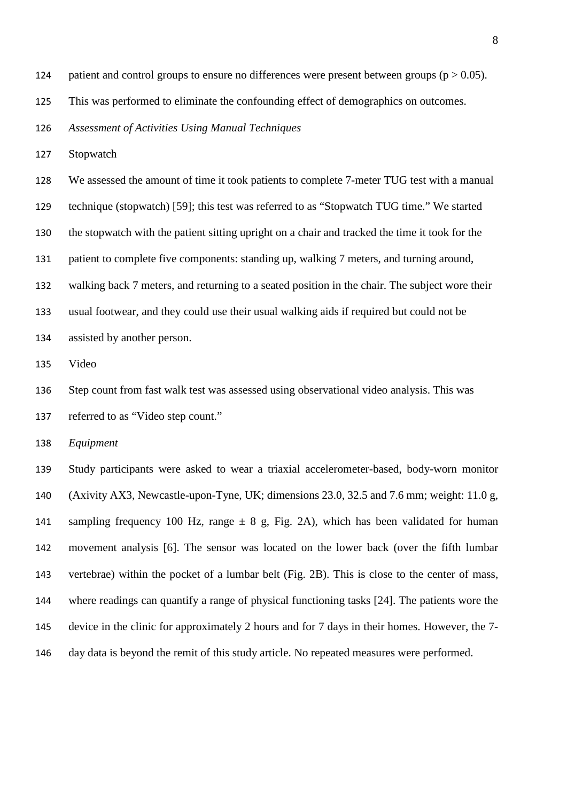- 124 patient and control groups to ensure no differences were present between groups ( $p > 0.05$ ).
- This was performed to eliminate the confounding effect of demographics on outcomes.

*Assessment of Activities Using Manual Techniques*

Stopwatch

 We assessed the amount of time it took patients to complete 7-meter TUG test with a manual technique (stopwatch) [59]; this test was referred to as "Stopwatch TUG time." We started the stopwatch with the patient sitting upright on a chair and tracked the time it took for the patient to complete five components: standing up, walking 7 meters, and turning around, walking back 7 meters, and returning to a seated position in the chair. The subject wore their usual footwear, and they could use their usual walking aids if required but could not be assisted by another person.

Video

Step count from fast walk test was assessed using observational video analysis. This was

referred to as "Video step count."

*Equipment*

 Study participants were asked to wear a triaxial accelerometer-based, body-worn monitor (Axivity AX3, Newcastle-upon-Tyne, UK; dimensions 23.0, 32.5 and 7.6 mm; weight: 11.0 g, 141 sampling frequency 100 Hz, range  $\pm 8$  g, Fig. 2A), which has been validated for human movement analysis [6]. The sensor was located on the lower back (over the fifth lumbar vertebrae) within the pocket of a lumbar belt (Fig. 2B). This is close to the center of mass, where readings can quantify a range of physical functioning tasks [24]. The patients wore the device in the clinic for approximately 2 hours and for 7 days in their homes. However, the 7- day data is beyond the remit of this study article. No repeated measures were performed.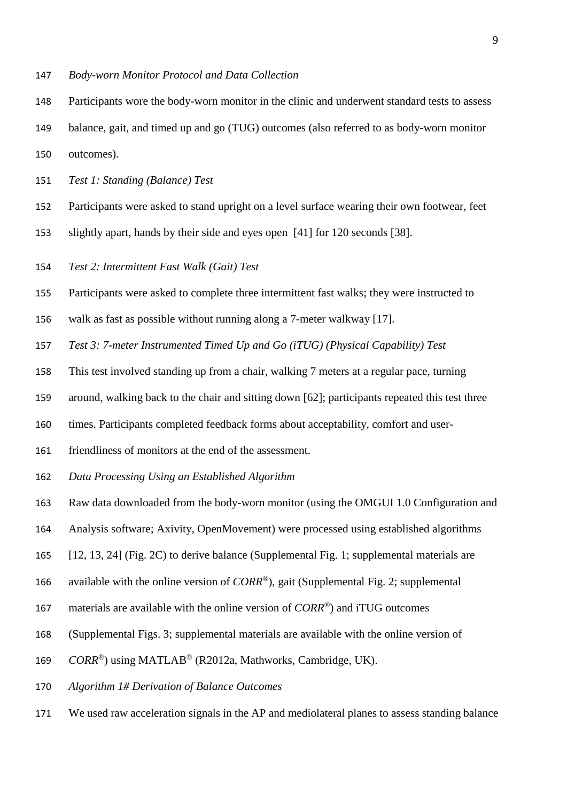- *Body-worn Monitor Protocol and Data Collection*
- Participants wore the body-worn monitor in the clinic and underwent standard tests to assess
- balance, gait, and timed up and go (TUG) outcomes (also referred to as body-worn monitor
- outcomes).
- *Test 1: Standing (Balance) Test*
- Participants were asked to stand upright on a level surface wearing their own footwear, feet
- slightly apart, hands by their side and eyes open [41] for 120 seconds [38].
- *Test 2: Intermittent Fast Walk (Gait) Test*
- Participants were asked to complete three intermittent fast walks; they were instructed to
- walk as fast as possible without running along a 7-meter walkway [17].
- *Test 3: 7-meter Instrumented Timed Up and Go (iTUG) (Physical Capability) Test*
- This test involved standing up from a chair, walking 7 meters at a regular pace, turning
- around, walking back to the chair and sitting down [62]; participants repeated this test three
- times. Participants completed feedback forms about acceptability, comfort and user-
- friendliness of monitors at the end of the assessment.
- *Data Processing Using an Established Algorithm*
- Raw data downloaded from the body-worn monitor (using the OMGUI 1.0 Configuration and
- Analysis software; Axivity, OpenMovement) were processed using established algorithms
- [12, 13, 24] (Fig. 2C) to derive balance (Supplemental Fig. 1; supplemental materials are
- 166 available with the online version of *CORR®*), gait (Supplemental Fig. 2; supplemental
- 167 materials are available with the online version of *CORR®*) and iTUG outcomes
- (Supplemental Figs. 3; supplemental materials are available with the online version of
- 169 CORR<sup>®</sup>) using MATLAB<sup>®</sup> (R2012a, Mathworks, Cambridge, UK).
- *Algorithm 1# Derivation of Balance Outcomes*
- We used raw acceleration signals in the AP and mediolateral planes to assess standing balance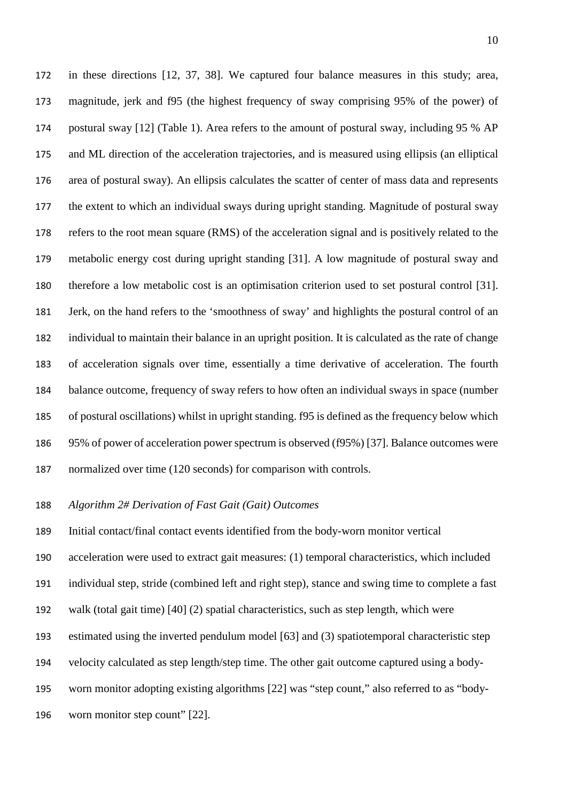in these directions [12, 37, 38]. We captured four balance measures in this study; area, magnitude, jerk and f95 (the highest frequency of sway comprising 95% of the power) of postural sway [12] (Table 1). Area refers to the amount of postural sway, including 95 % AP and ML direction of the acceleration trajectories, and is measured using ellipsis (an elliptical area of postural sway). An ellipsis calculates the scatter of center of mass data and represents the extent to which an individual sways during upright standing. Magnitude of postural sway refers to the root mean square (RMS) of the acceleration signal and is positively related to the metabolic energy cost during upright standing [31]. A low magnitude of postural sway and therefore a low metabolic cost is an optimisation criterion used to set postural control [31]. Jerk, on the hand refers to the 'smoothness of sway' and highlights the postural control of an individual to maintain their balance in an upright position. It is calculated as the rate of change of acceleration signals over time, essentially a time derivative of acceleration. The fourth balance outcome, frequency of sway refers to how often an individual sways in space (number of postural oscillations) whilst in upright standing. f95 is defined as the frequency below which 95% of power of acceleration power spectrum is observed (f95%) [37]. Balance outcomes were normalized over time (120 seconds) for comparison with controls.

# *Algorithm 2# Derivation of Fast Gait (Gait) Outcomes*

Initial contact/final contact events identified from the body-worn monitor vertical

acceleration were used to extract gait measures: (1) temporal characteristics, which included

individual step, stride (combined left and right step), stance and swing time to complete a fast

- walk (total gait time) [40] (2) spatial characteristics, such as step length, which were
- estimated using the inverted pendulum model [63] and (3) spatiotemporal characteristic step

velocity calculated as step length/step time. The other gait outcome captured using a body-

- worn monitor adopting existing algorithms [22] was "step count," also referred to as "body-
- worn monitor step count" [22].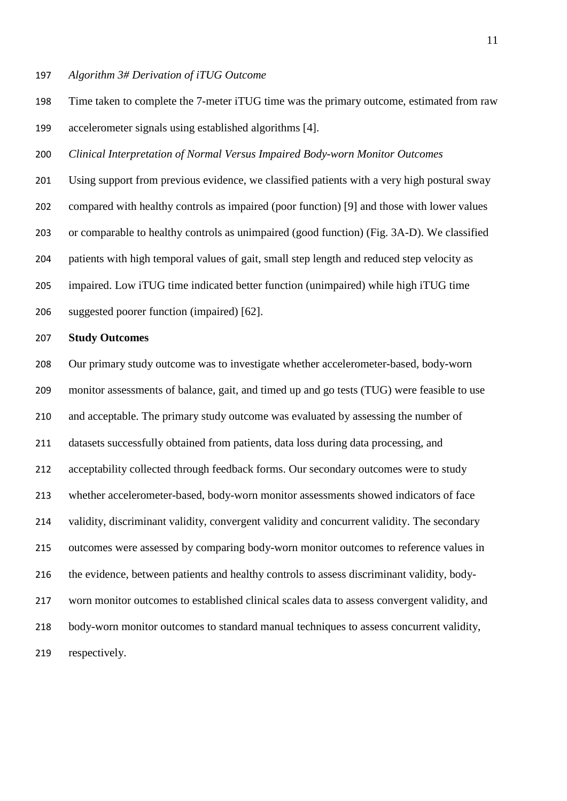#### *Algorithm 3# Derivation of iTUG Outcome*

 Time taken to complete the 7-meter iTUG time was the primary outcome, estimated from raw accelerometer signals using established algorithms [4].

*Clinical Interpretation of Normal Versus Impaired Body-worn Monitor Outcomes*

 Using support from previous evidence, we classified patients with a very high postural sway compared with healthy controls as impaired (poor function) [9] and those with lower values or comparable to healthy controls as unimpaired (good function) (Fig. 3A-D). We classified patients with high temporal values of gait, small step length and reduced step velocity as impaired. Low iTUG time indicated better function (unimpaired) while high iTUG time suggested poorer function (impaired) [62].

# **Study Outcomes**

 Our primary study outcome was to investigate whether accelerometer-based, body-worn monitor assessments of balance, gait, and timed up and go tests (TUG) were feasible to use and acceptable. The primary study outcome was evaluated by assessing the number of datasets successfully obtained from patients, data loss during data processing, and 212 acceptability collected through feedback forms. Our secondary outcomes were to study whether accelerometer-based, body-worn monitor assessments showed indicators of face validity, discriminant validity, convergent validity and concurrent validity. The secondary outcomes were assessed by comparing body-worn monitor outcomes to reference values in the evidence, between patients and healthy controls to assess discriminant validity, body- worn monitor outcomes to established clinical scales data to assess convergent validity, and body-worn monitor outcomes to standard manual techniques to assess concurrent validity, respectively.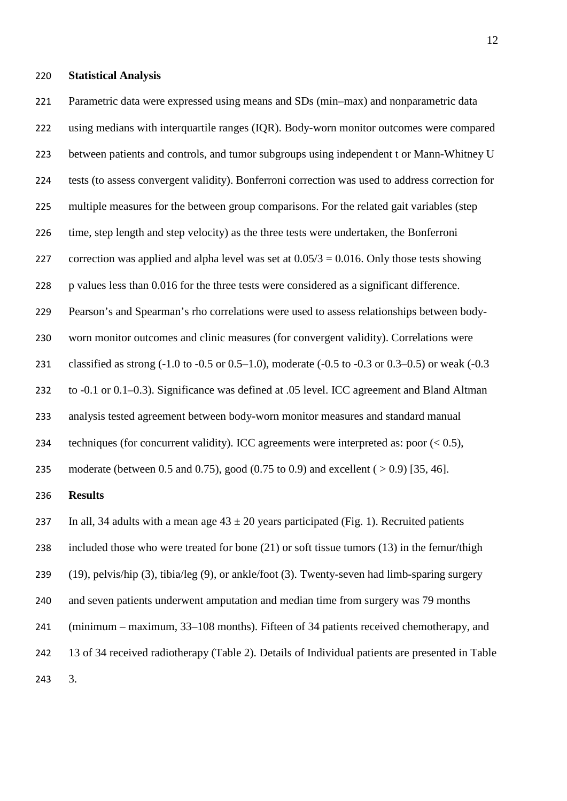#### **Statistical Analysis**

 Parametric data were expressed using means and SDs (min–max) and nonparametric data using medians with interquartile ranges (IQR). Body-worn monitor outcomes were compared

223 between patients and controls, and tumor subgroups using independent t or Mann-Whitney U

- tests (to assess convergent validity). Bonferroni correction was used to address correction for
- multiple measures for the between group comparisons. For the related gait variables (step
- time, step length and step velocity) as the three tests were undertaken, the Bonferroni
- 227 correction was applied and alpha level was set at  $0.05/3 = 0.016$ . Only those tests showing
- p values less than 0.016 for the three tests were considered as a significant difference.
- Pearson's and Spearman's rho correlations were used to assess relationships between body-
- worn monitor outcomes and clinic measures (for convergent validity). Correlations were
- classified as strong (-1.0 to -0.5 or 0.5–1.0), moderate (-0.5 to -0.3 or 0.3–0.5) or weak (-0.3
- to -0.1 or 0.1–0.3). Significance was defined at .05 level. ICC agreement and Bland Altman
- analysis tested agreement between body-worn monitor measures and standard manual
- 234 techniques (for concurrent validity). ICC agreements were interpreted as: poor  $(< 0.5)$ ,

moderate (between 0.5 and 0.75), good (0.75 to 0.9) and excellent ( > 0.9) [35, 46].

# **Results**

237 In all, 34 adults with a mean age  $43 \pm 20$  years participated (Fig. 1). Recruited patients

included those who were treated for bone (21) or soft tissue tumors (13) in the femur/thigh

- (19), pelvis/hip (3), tibia/leg (9), or ankle/foot (3). Twenty-seven had limb-sparing surgery
- and seven patients underwent amputation and median time from surgery was 79 months
- (minimum maximum, 33–108 months). Fifteen of 34 patients received chemotherapy, and
- 13 of 34 received radiotherapy (Table 2). Details of Individual patients are presented in Table
- 3.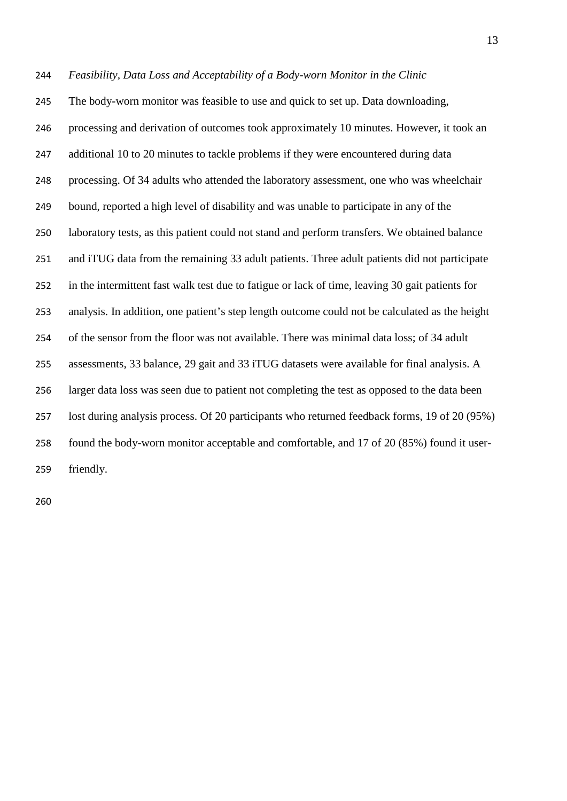*Feasibility, Data Loss and Acceptability of a Body-worn Monitor in the Clinic* The body-worn monitor was feasible to use and quick to set up. Data downloading, processing and derivation of outcomes took approximately 10 minutes. However, it took an 247 additional 10 to 20 minutes to tackle problems if they were encountered during data processing. Of 34 adults who attended the laboratory assessment, one who was wheelchair bound, reported a high level of disability and was unable to participate in any of the laboratory tests, as this patient could not stand and perform transfers. We obtained balance and iTUG data from the remaining 33 adult patients. Three adult patients did not participate in the intermittent fast walk test due to fatigue or lack of time, leaving 30 gait patients for analysis. In addition, one patient's step length outcome could not be calculated as the height of the sensor from the floor was not available. There was minimal data loss; of 34 adult assessments, 33 balance, 29 gait and 33 iTUG datasets were available for final analysis. A larger data loss was seen due to patient not completing the test as opposed to the data been lost during analysis process. Of 20 participants who returned feedback forms, 19 of 20 (95%) found the body-worn monitor acceptable and comfortable, and 17 of 20 (85%) found it user-friendly.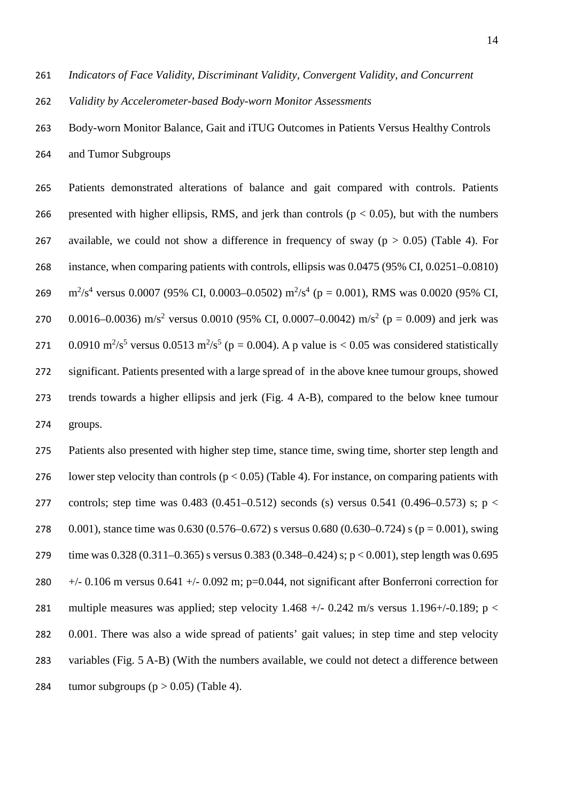261 *Indicators of Face Validity, Discriminant Validity, Convergent Validity, and Concurrent* 

262 *Validity by Accelerometer-based Body-worn Monitor Assessments* 

263 Body-worn Monitor Balance, Gait and iTUG Outcomes in Patients Versus Healthy Controls 264 and Tumor Subgroups

265 Patients demonstrated alterations of balance and gait compared with controls. Patients 266 presented with higher ellipsis, RMS, and jerk than controls ( $p < 0.05$ ), but with the numbers 267 available, we could not show a difference in frequency of sway ( $p > 0.05$ ) (Table 4). For 268 instance, when comparing patients with controls, ellipsis was 0.0475 (95% CI, 0.0251–0.0810) 269 m<sup>2</sup>/s<sup>4</sup> versus 0.0007 (95% CI, 0.0003–0.0502) m<sup>2</sup>/s<sup>4</sup> (p = 0.001), RMS was 0.0020 (95% CI, 270 0.0016–0.0036) m/s<sup>2</sup> versus 0.0010 (95% CI, 0.0007–0.0042) m/s<sup>2</sup> (p = 0.009) and jerk was 271 0.0910 m<sup>2</sup>/s<sup>5</sup> versus 0.0513 m<sup>2</sup>/s<sup>5</sup> (p = 0.004). A p value is < 0.05 was considered statistically 272 significant. Patients presented with a large spread of in the above knee tumour groups, showed 273 trends towards a higher ellipsis and jerk (Fig. 4 A-B), compared to the below knee tumour 274 groups.

275 Patients also presented with higher step time, stance time, swing time, shorter step length and 276 lower step velocity than controls ( $p < 0.05$ ) (Table 4). For instance, on comparing patients with 277 controls; step time was 0.483 (0.451–0.512) seconds (s) versus 0.541 (0.496–0.573) s; p < 278 0.001), stance time was 0.630 (0.576–0.672) s versus 0.680 (0.630–0.724) s ( $p = 0.001$ ), swing 279 time was 0.328 (0.311–0.365) s versus 0.383 (0.348–0.424) s; p < 0.001), step length was 0.695 280  $+/-$  0.106 m versus 0.641  $+/-$  0.092 m; p=0.044, not significant after Bonferroni correction for 281 multiple measures was applied; step velocity 1.468  $+/-$  0.242 m/s versus 1.196 $+/-$ 0.189; p < 282 0.001. There was also a wide spread of patients' gait values; in step time and step velocity 283 variables (Fig. 5 A-B) (With the numbers available, we could not detect a difference between 284 tumor subgroups  $(p > 0.05)$  (Table 4).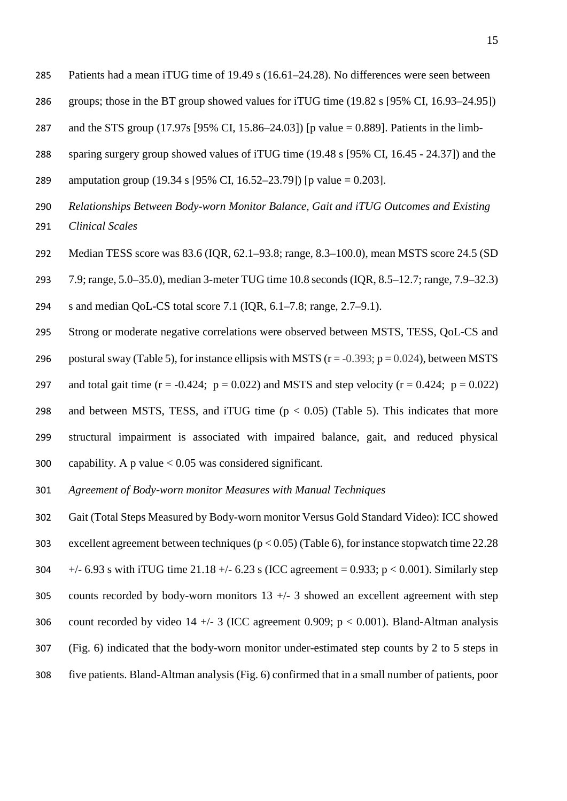- Patients had a mean iTUG time of 19.49 s (16.61–24.28). No differences were seen between
- groups; those in the BT group showed values for iTUG time (19.82 s [95% CI, 16.93–24.95])
- and the STS group (17.97s [95% CI, 15.86–24.03]) [p value = 0.889]. Patients in the limb-
- sparing surgery group showed values of iTUG time (19.48 s [95% CI, 16.45 24.37]) and the
- amputation group (19.34 s [95% CI, 16.52–23.79]) [p value = 0.203].
- *Relationships Between Body-worn Monitor Balance, Gait and iTUG Outcomes and Existing Clinical Scales*
- Median TESS score was 83.6 (IQR, 62.1–93.8; range, 8.3–100.0), mean MSTS score 24.5 (SD
- 7.9; range, 5.0–35.0), median 3-meter TUG time 10.8 seconds (IQR, 8.5–12.7; range, 7.9–32.3)
- s and median QoL-CS total score 7.1 (IQR, 6.1–7.8; range, 2.7–9.1).
- Strong or moderate negative correlations were observed between MSTS, TESS, QoL-CS and
- 296 postural sway (Table 5), for instance ellipsis with MSTS  $(r = -0.393; p = 0.024)$ , between MSTS
- 297 and total gait time  $(r = -0.424; p = 0.022)$  and MSTS and step velocity  $(r = 0.424; p = 0.022)$
- 298 and between MSTS, TESS, and iTUG time  $(p < 0.05)$  (Table 5). This indicates that more structural impairment is associated with impaired balance, gait, and reduced physical 300 capability. A p value  $< 0.05$  was considered significant.
- *Agreement of Body-worn monitor Measures with Manual Techniques*
- Gait (Total Steps Measured by Body-worn monitor Versus Gold Standard Video): ICC showed 303 excellent agreement between techniques ( $p < 0.05$ ) (Table 6), for instance stopwatch time 22.28 304  $+/- 6.93$  s with iTUG time 21.18  $+/- 6.23$  s (ICC agreement = 0.933; p < 0.001). Similarly step 305 counts recorded by body-worn monitors  $13 +/- 3$  showed an excellent agreement with step 306 count recorded by video 14  $+/-$  3 (ICC agreement 0.909; p < 0.001). Bland-Altman analysis (Fig. 6) indicated that the body-worn monitor under-estimated step counts by 2 to 5 steps in five patients. Bland-Altman analysis (Fig. 6) confirmed that in a small number of patients, poor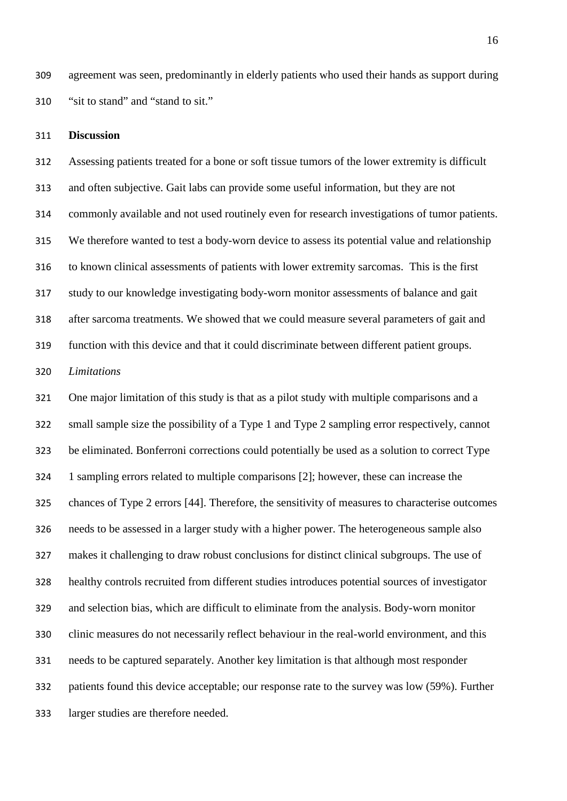agreement was seen, predominantly in elderly patients who used their hands as support during "sit to stand" and "stand to sit."

#### **Discussion**

 Assessing patients treated for a bone or soft tissue tumors of the lower extremity is difficult and often subjective. Gait labs can provide some useful information, but they are not commonly available and not used routinely even for research investigations of tumor patients. We therefore wanted to test a body-worn device to assess its potential value and relationship to known clinical assessments of patients with lower extremity sarcomas. This is the first study to our knowledge investigating body-worn monitor assessments of balance and gait after sarcoma treatments. We showed that we could measure several parameters of gait and function with this device and that it could discriminate between different patient groups.

#### *Limitations*

 One major limitation of this study is that as a pilot study with multiple comparisons and a small sample size the possibility of a Type 1 and Type 2 sampling error respectively, cannot be eliminated. Bonferroni corrections could potentially be used as a solution to correct Type 1 sampling errors related to multiple comparisons [2]; however, these can increase the chances of Type 2 errors [44]. Therefore, the sensitivity of measures to characterise outcomes needs to be assessed in a larger study with a higher power. The heterogeneous sample also makes it challenging to draw robust conclusions for distinct clinical subgroups. The use of healthy controls recruited from different studies introduces potential sources of investigator and selection bias, which are difficult to eliminate from the analysis. Body-worn monitor clinic measures do not necessarily reflect behaviour in the real-world environment, and this needs to be captured separately. Another key limitation is that although most responder patients found this device acceptable; our response rate to the survey was low (59%). Further larger studies are therefore needed.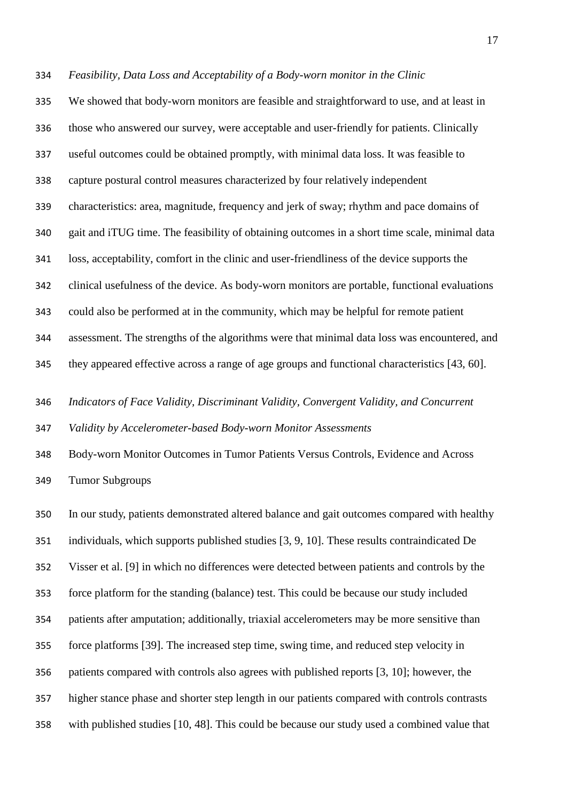*Feasibility, Data Loss and Acceptability of a Body-worn monitor in the Clinic*

 We showed that body-worn monitors are feasible and straightforward to use, and at least in those who answered our survey, were acceptable and user-friendly for patients. Clinically useful outcomes could be obtained promptly, with minimal data loss. It was feasible to capture postural control measures characterized by four relatively independent characteristics: area, magnitude, frequency and jerk of sway; rhythm and pace domains of gait and iTUG time. The feasibility of obtaining outcomes in a short time scale, minimal data loss, acceptability, comfort in the clinic and user-friendliness of the device supports the clinical usefulness of the device. As body-worn monitors are portable, functional evaluations could also be performed at in the community, which may be helpful for remote patient assessment. The strengths of the algorithms were that minimal data loss was encountered, and they appeared effective across a range of age groups and functional characteristics [43, 60].

*Indicators of Face Validity, Discriminant Validity, Convergent Validity, and Concurrent* 

*Validity by Accelerometer-based Body-worn Monitor Assessments* 

 Body-worn Monitor Outcomes in Tumor Patients Versus Controls, Evidence and Across Tumor Subgroups

 In our study, patients demonstrated altered balance and gait outcomes compared with healthy individuals, which supports published studies [3, 9, 10]. These results contraindicated De Visser et al. [9] in which no differences were detected between patients and controls by the force platform for the standing (balance) test. This could be because our study included patients after amputation; additionally, triaxial accelerometers may be more sensitive than force platforms [39]. The increased step time, swing time, and reduced step velocity in patients compared with controls also agrees with published reports [3, 10]; however, the higher stance phase and shorter step length in our patients compared with controls contrasts with published studies [10, 48]. This could be because our study used a combined value that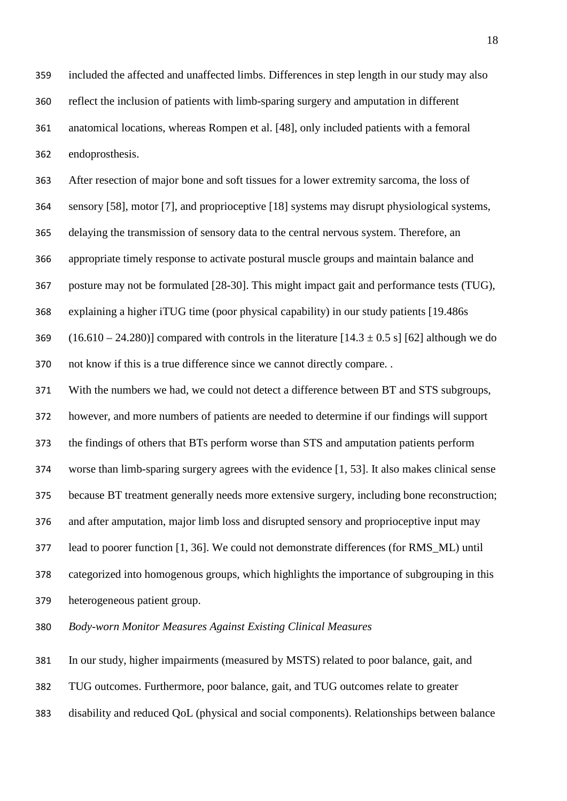included the affected and unaffected limbs. Differences in step length in our study may also reflect the inclusion of patients with limb-sparing surgery and amputation in different anatomical locations, whereas Rompen et al. [48], only included patients with a femoral endoprosthesis.

After resection of major bone and soft tissues for a lower extremity sarcoma, the loss of

sensory [58], motor [7], and proprioceptive [18] systems may disrupt physiological systems,

delaying the transmission of sensory data to the central nervous system. Therefore, an

appropriate timely response to activate postural muscle groups and maintain balance and

posture may not be formulated [28-30]. This might impact gait and performance tests (TUG),

explaining a higher iTUG time (poor physical capability) in our study patients [19.486s

369 (16.610 – 24.280)] compared with controls in the literature  $[14.3 \pm 0.5 \text{ s}]$  [62] although we do

not know if this is a true difference since we cannot directly compare. .

With the numbers we had, we could not detect a difference between BT and STS subgroups,

however, and more numbers of patients are needed to determine if our findings will support

the findings of others that BTs perform worse than STS and amputation patients perform

worse than limb-sparing surgery agrees with the evidence [1, 53]. It also makes clinical sense

because BT treatment generally needs more extensive surgery, including bone reconstruction;

and after amputation, major limb loss and disrupted sensory and proprioceptive input may

lead to poorer function [1, 36]. We could not demonstrate differences (for RMS\_ML) until

categorized into homogenous groups, which highlights the importance of subgrouping in this

heterogeneous patient group.

*Body-worn Monitor Measures Against Existing Clinical Measures*

In our study, higher impairments (measured by MSTS) related to poor balance, gait, and

TUG outcomes. Furthermore, poor balance, gait, and TUG outcomes relate to greater

disability and reduced QoL (physical and social components). Relationships between balance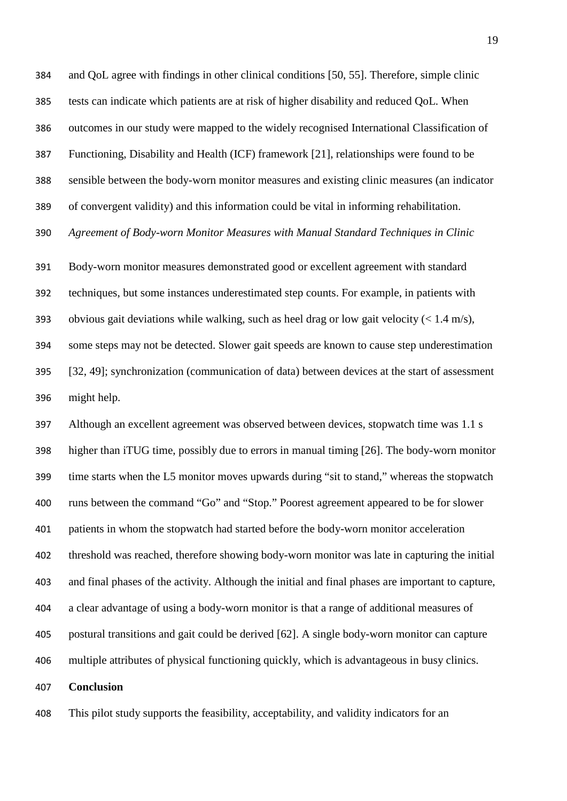and QoL agree with findings in other clinical conditions [50, 55]. Therefore, simple clinic tests can indicate which patients are at risk of higher disability and reduced QoL. When outcomes in our study were mapped to the widely recognised International Classification of Functioning, Disability and Health (ICF) framework [21], relationships were found to be sensible between the body-worn monitor measures and existing clinic measures (an indicator of convergent validity) and this information could be vital in informing rehabilitation. *Agreement of Body-worn Monitor Measures with Manual Standard Techniques in Clinic*

 Body-worn monitor measures demonstrated good or excellent agreement with standard techniques, but some instances underestimated step counts. For example, in patients with 393 obvious gait deviations while walking, such as heel drag or low gait velocity ( $\lt 1.4$  m/s), some steps may not be detected. Slower gait speeds are known to cause step underestimation [32, 49]; synchronization (communication of data) between devices at the start of assessment might help.

 Although an excellent agreement was observed between devices, stopwatch time was 1.1 s higher than iTUG time, possibly due to errors in manual timing [26]. The body-worn monitor time starts when the L5 monitor moves upwards during "sit to stand," whereas the stopwatch runs between the command "Go" and "Stop." Poorest agreement appeared to be for slower patients in whom the stopwatch had started before the body-worn monitor acceleration threshold was reached, therefore showing body-worn monitor was late in capturing the initial and final phases of the activity. Although the initial and final phases are important to capture, a clear advantage of using a body-worn monitor is that a range of additional measures of postural transitions and gait could be derived [62]. A single body-worn monitor can capture multiple attributes of physical functioning quickly, which is advantageous in busy clinics. **Conclusion**

This pilot study supports the feasibility, acceptability, and validity indicators for an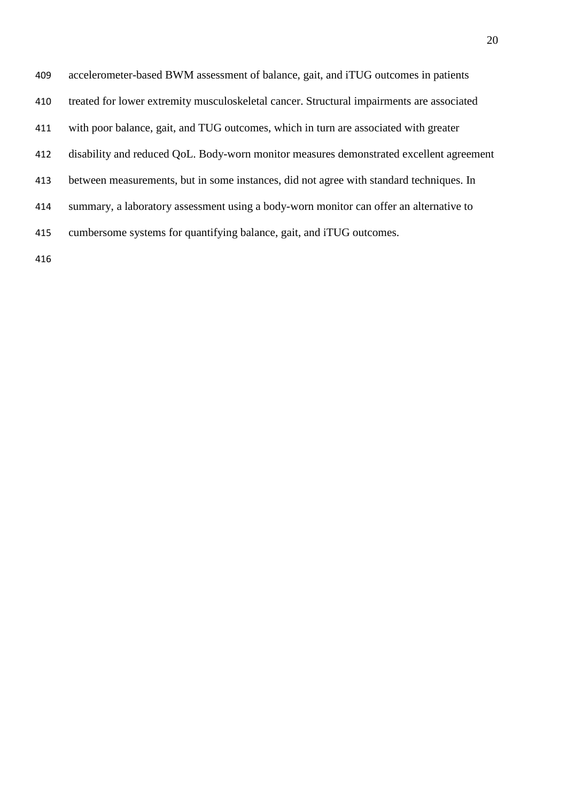| 409 | accelerometer-based BWM assessment of balance, gait, and iTUG outcomes in patients        |
|-----|-------------------------------------------------------------------------------------------|
| 410 | treated for lower extremity musculoskeletal cancer. Structural impairments are associated |
| 411 | with poor balance, gait, and TUG outcomes, which in turn are associated with greater      |
| 412 | disability and reduced QoL. Body-worn monitor measures demonstrated excellent agreement   |
| 413 | between measurements, but in some instances, did not agree with standard techniques. In   |
| 414 | summary, a laboratory assessment using a body-worn monitor can offer an alternative to    |
| 415 | cumbersome systems for quantifying balance, gait, and iTUG outcomes.                      |
|     |                                                                                           |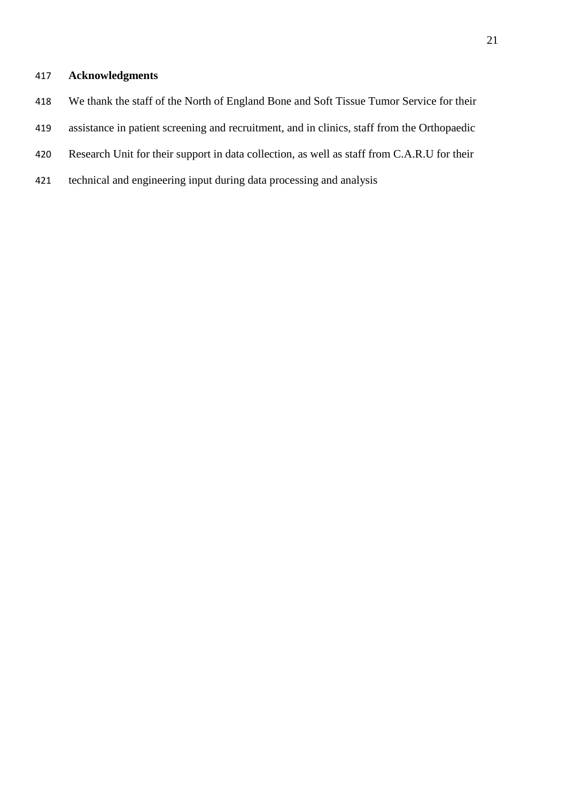# **Acknowledgments**

- We thank the staff of the North of England Bone and Soft Tissue Tumor Service for their
- assistance in patient screening and recruitment, and in clinics, staff from the Orthopaedic
- Research Unit for their support in data collection, as well as staff from C.A.R.U for their
- technical and engineering input during data processing and analysis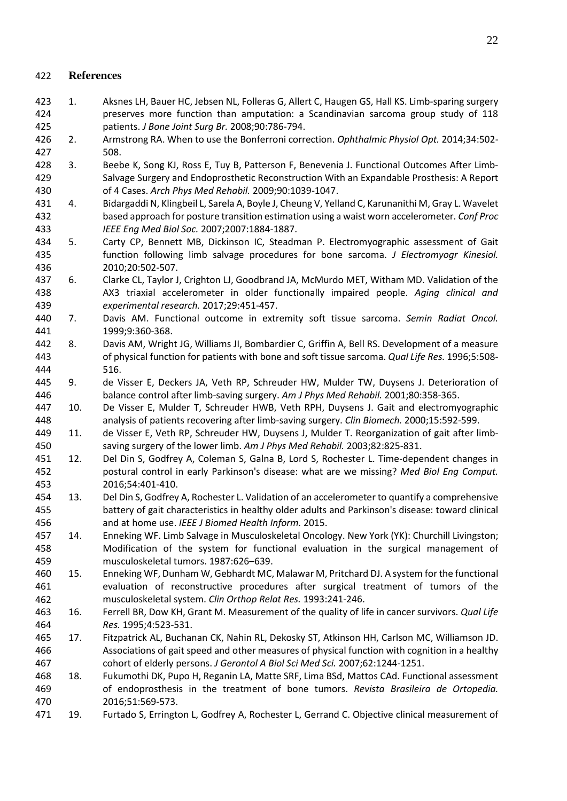# **References**

- 1. Aksnes LH, Bauer HC, Jebsen NL, Folleras G, Allert C, Haugen GS, Hall KS. Limb-sparing surgery preserves more function than amputation: a Scandinavian sarcoma group study of 118 patients. *J Bone Joint Surg Br.* 2008;90:786-794.
- 2. Armstrong RA. When to use the Bonferroni correction. *Ophthalmic Physiol Opt.* 2014;34:502- 508.
- 3. Beebe K, Song KJ, Ross E, Tuy B, Patterson F, Benevenia J. Functional Outcomes After Limb- Salvage Surgery and Endoprosthetic Reconstruction With an Expandable Prosthesis: A Report of 4 Cases. *Arch Phys Med Rehabil.* 2009;90:1039-1047.
- 4. Bidargaddi N, Klingbeil L, Sarela A, Boyle J, Cheung V, Yelland C, Karunanithi M, Gray L. Wavelet based approach for posture transition estimation using a waist worn accelerometer. *Conf Proc IEEE Eng Med Biol Soc.* 2007;2007:1884-1887.
- 5. Carty CP, Bennett MB, Dickinson IC, Steadman P. Electromyographic assessment of Gait function following limb salvage procedures for bone sarcoma. *J Electromyogr Kinesiol.*  2010;20:502-507.
- 6. Clarke CL, Taylor J, Crighton LJ, Goodbrand JA, McMurdo MET, Witham MD. Validation of the AX3 triaxial accelerometer in older functionally impaired people. *Aging clinical and experimental research.* 2017;29:451-457.
- 7. Davis AM. Functional outcome in extremity soft tissue sarcoma. *Semin Radiat Oncol.*  1999;9:360-368.
- 8. Davis AM, Wright JG, Williams JI, Bombardier C, Griffin A, Bell RS. Development of a measure of physical function for patients with bone and soft tissue sarcoma. *Qual Life Res.* 1996;5:508- 516.
- 9. de Visser E, Deckers JA, Veth RP, Schreuder HW, Mulder TW, Duysens J. Deterioration of balance control after limb-saving surgery. *Am J Phys Med Rehabil.* 2001;80:358-365.
- 10. De Visser E, Mulder T, Schreuder HWB, Veth RPH, Duysens J. Gait and electromyographic analysis of patients recovering after limb-saving surgery. *Clin Biomech.* 2000;15:592-599.
- 11. de Visser E, Veth RP, Schreuder HW, Duysens J, Mulder T. Reorganization of gait after limb-saving surgery of the lower limb. *Am J Phys Med Rehabil.* 2003;82:825-831.
- 12. Del Din S, Godfrey A, Coleman S, Galna B, Lord S, Rochester L. Time-dependent changes in postural control in early Parkinson's disease: what are we missing? *Med Biol Eng Comput.*  2016;54:401-410.
- 13. Del Din S, Godfrey A, Rochester L. Validation of an accelerometer to quantify a comprehensive battery of gait characteristics in healthy older adults and Parkinson's disease: toward clinical and at home use. *IEEE J Biomed Health Inform.* 2015.
- 14. Enneking WF. Limb Salvage in Musculoskeletal Oncology. New York (YK): Churchill Livingston; Modification of the system for functional evaluation in the surgical management of musculoskeletal tumors. 1987:626–639.
- 15. Enneking WF, Dunham W, Gebhardt MC, Malawar M, Pritchard DJ. A system for the functional evaluation of reconstructive procedures after surgical treatment of tumors of the musculoskeletal system. *Clin Orthop Relat Res.* 1993:241-246.
- 16. Ferrell BR, Dow KH, Grant M. Measurement of the quality of life in cancer survivors. *Qual Life Res.* 1995;4:523-531.
- 17. Fitzpatrick AL, Buchanan CK, Nahin RL, Dekosky ST, Atkinson HH, Carlson MC, Williamson JD. Associations of gait speed and other measures of physical function with cognition in a healthy cohort of elderly persons. *J Gerontol A Biol Sci Med Sci.* 2007;62:1244-1251.
- 18. Fukumothi DK, Pupo H, Reganin LA, Matte SRF, Lima BSd, Mattos CAd. Functional assessment of endoprosthesis in the treatment of bone tumors. *Revista Brasileira de Ortopedia.*  2016;51:569-573.
- 19. Furtado S, Errington L, Godfrey A, Rochester L, Gerrand C. Objective clinical measurement of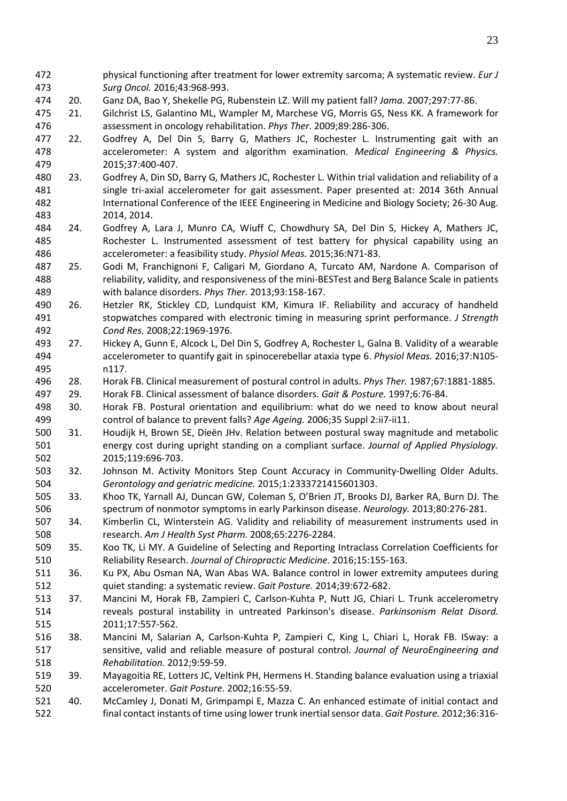- physical functioning after treatment for lower extremity sarcoma; A systematic review. *Eur J Surg Oncol.* 2016;43:968-993.
- 20. Ganz DA, Bao Y, Shekelle PG, Rubenstein LZ. Will my patient fall? *Jama.* 2007;297:77-86.
- 21. Gilchrist LS, Galantino ML, Wampler M, Marchese VG, Morris GS, Ness KK. A framework for assessment in oncology rehabilitation. *Phys Ther.* 2009;89:286-306.
- 22. Godfrey A, Del Din S, Barry G, Mathers JC, Rochester L. Instrumenting gait with an accelerometer: A system and algorithm examination. *Medical Engineering & Physics.*  2015;37:400-407.
- 23. Godfrey A, Din SD, Barry G, Mathers JC, Rochester L. Within trial validation and reliability of a 481 single tri-axial accelerometer for gait assessment. Paper presented at: 2014 36th Annual International Conference of the IEEE Engineering in Medicine and Biology Society; 26-30 Aug. 2014, 2014.
- 24. Godfrey A, Lara J, Munro CA, Wiuff C, Chowdhury SA, Del Din S, Hickey A, Mathers JC, Rochester L. Instrumented assessment of test battery for physical capability using an accelerometer: a feasibility study. *Physiol Meas.* 2015;36:N71-83.
- 25. Godi M, Franchignoni F, Caligari M, Giordano A, Turcato AM, Nardone A. Comparison of reliability, validity, and responsiveness of the mini-BESTest and Berg Balance Scale in patients with balance disorders. *Phys Ther.* 2013;93:158-167.
- 26. Hetzler RK, Stickley CD, Lundquist KM, Kimura IF. Reliability and accuracy of handheld stopwatches compared with electronic timing in measuring sprint performance. *J Strength Cond Res.* 2008;22:1969-1976.
- 27. Hickey A, Gunn E, Alcock L, Del Din S, Godfrey A, Rochester L, Galna B. Validity of a wearable accelerometer to quantify gait in spinocerebellar ataxia type 6. *Physiol Meas.* 2016;37:N105- n117.
- 28. Horak FB. Clinical measurement of postural control in adults. *Phys Ther.* 1987;67:1881-1885.
- 29. Horak FB. Clinical assessment of balance disorders. *Gait & Posture.* 1997;6:76-84.
- 30. Horak FB. Postural orientation and equilibrium: what do we need to know about neural control of balance to prevent falls? *Age Ageing.* 2006;35 Suppl 2:ii7-ii11.
- 31. Houdijk H, Brown SE, Dieën JHv. Relation between postural sway magnitude and metabolic energy cost during upright standing on a compliant surface. *Journal of Applied Physiology.*  2015;119:696-703.
- 32. Johnson M. Activity Monitors Step Count Accuracy in Community-Dwelling Older Adults. *Gerontology and geriatric medicine.* 2015;1:2333721415601303.
- 33. Khoo TK, Yarnall AJ, Duncan GW, Coleman S, O'Brien JT, Brooks DJ, Barker RA, Burn DJ. The spectrum of nonmotor symptoms in early Parkinson disease. *Neurology.* 2013;80:276-281.
- 34. Kimberlin CL, Winterstein AG. Validity and reliability of measurement instruments used in research. *Am J Health Syst Pharm.* 2008;65:2276-2284.
- 35. Koo TK, Li MY. A Guideline of Selecting and Reporting Intraclass Correlation Coefficients for Reliability Research. *Journal of Chiropractic Medicine.* 2016;15:155-163.
- 36. Ku PX, Abu Osman NA, Wan Abas WA. Balance control in lower extremity amputees during quiet standing: a systematic review. *Gait Posture.* 2014;39:672-682.
- 37. Mancini M, Horak FB, Zampieri C, Carlson-Kuhta P, Nutt JG, Chiari L. Trunk accelerometry reveals postural instability in untreated Parkinson's disease. *Parkinsonism Relat Disord.*  2011;17:557-562.
- 38. Mancini M, Salarian A, Carlson-Kuhta P, Zampieri C, King L, Chiari L, Horak FB. ISway: a sensitive, valid and reliable measure of postural control. *Journal of NeuroEngineering and Rehabilitation.* 2012;9:59-59.
- 39. Mayagoitia RE, Lotters JC, Veltink PH, Hermens H. Standing balance evaluation using a triaxial accelerometer. *Gait Posture.* 2002;16:55-59.
- 40. McCamley J, Donati M, Grimpampi E, Mazza C. An enhanced estimate of initial contact and final contact instants of time using lower trunk inertial sensor data. *Gait Posture.* 2012;36:316-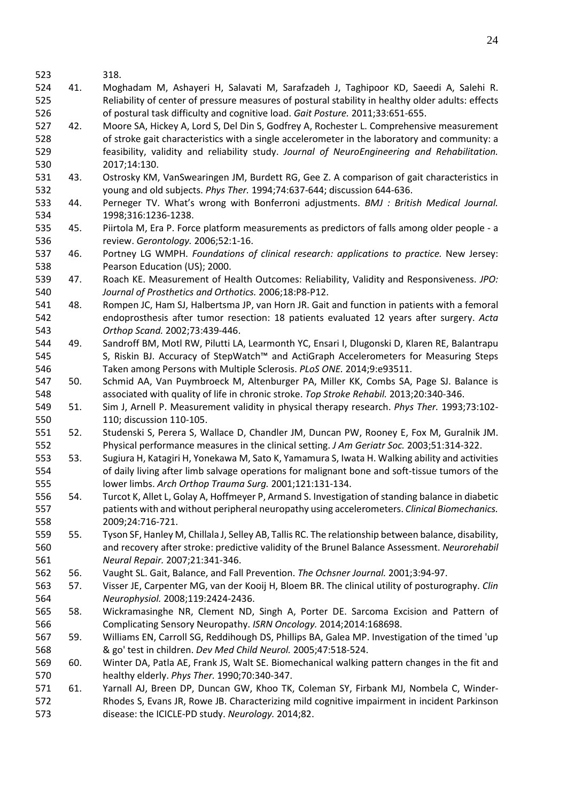318.

- 41. Moghadam M, Ashayeri H, Salavati M, Sarafzadeh J, Taghipoor KD, Saeedi A, Salehi R. Reliability of center of pressure measures of postural stability in healthy older adults: effects of postural task difficulty and cognitive load. *Gait Posture.* 2011;33:651-655.
- 42. Moore SA, Hickey A, Lord S, Del Din S, Godfrey A, Rochester L. Comprehensive measurement of stroke gait characteristics with a single accelerometer in the laboratory and community: a feasibility, validity and reliability study. *Journal of NeuroEngineering and Rehabilitation.*  2017;14:130.
- 43. Ostrosky KM, VanSwearingen JM, Burdett RG, Gee Z. A comparison of gait characteristics in young and old subjects. *Phys Ther.* 1994;74:637-644; discussion 644-636.
- 44. Perneger TV. What's wrong with Bonferroni adjustments. *BMJ : British Medical Journal.*  1998;316:1236-1238.
- 45. Piirtola M, Era P. Force platform measurements as predictors of falls among older people a review. *Gerontology.* 2006;52:1-16.
- 46. Portney LG WMPH. *Foundations of clinical research: applications to practice.* New Jersey: Pearson Education (US); 2000.
- 47. Roach KE. Measurement of Health Outcomes: Reliability, Validity and Responsiveness. *JPO: Journal of Prosthetics and Orthotics.* 2006;18:P8-P12.
- 48. Rompen JC, Ham SJ, Halbertsma JP, van Horn JR. Gait and function in patients with a femoral endoprosthesis after tumor resection: 18 patients evaluated 12 years after surgery. *Acta Orthop Scand.* 2002;73:439-446.
- 49. Sandroff BM, Motl RW, Pilutti LA, Learmonth YC, Ensari I, Dlugonski D, Klaren RE, Balantrapu S, Riskin BJ. Accuracy of StepWatch™ and ActiGraph Accelerometers for Measuring Steps Taken among Persons with Multiple Sclerosis. *PLoS ONE.* 2014;9:e93511.
- 50. Schmid AA, Van Puymbroeck M, Altenburger PA, Miller KK, Combs SA, Page SJ. Balance is associated with quality of life in chronic stroke. *Top Stroke Rehabil.* 2013;20:340-346.
- 51. Sim J, Arnell P. Measurement validity in physical therapy research. *Phys Ther.* 1993;73:102- 110; discussion 110-105.
- 52. Studenski S, Perera S, Wallace D, Chandler JM, Duncan PW, Rooney E, Fox M, Guralnik JM. Physical performance measures in the clinical setting. *J Am Geriatr Soc.* 2003;51:314-322.
- 53. Sugiura H, Katagiri H, Yonekawa M, Sato K, Yamamura S, Iwata H. Walking ability and activities of daily living after limb salvage operations for malignant bone and soft-tissue tumors of the lower limbs. *Arch Orthop Trauma Surg.* 2001;121:131-134.
- 54. Turcot K, Allet L, Golay A, Hoffmeyer P, Armand S. Investigation of standing balance in diabetic patients with and without peripheral neuropathy using accelerometers. *Clinical Biomechanics.*  2009;24:716-721.
- 55. Tyson SF, Hanley M, Chillala J, Selley AB, Tallis RC. The relationship between balance, disability, and recovery after stroke: predictive validity of the Brunel Balance Assessment. *Neurorehabil Neural Repair.* 2007;21:341-346.
- 56. Vaught SL. Gait, Balance, and Fall Prevention. *The Ochsner Journal.* 2001;3:94-97.
- 57. Visser JE, Carpenter MG, van der Kooij H, Bloem BR. The clinical utility of posturography. *Clin Neurophysiol.* 2008;119:2424-2436.
- 58. Wickramasinghe NR, Clement ND, Singh A, Porter DE. Sarcoma Excision and Pattern of Complicating Sensory Neuropathy. *ISRN Oncology.* 2014;2014:168698.
- 59. Williams EN, Carroll SG, Reddihough DS, Phillips BA, Galea MP. Investigation of the timed 'up & go' test in children. *Dev Med Child Neurol.* 2005;47:518-524.
- 60. Winter DA, Patla AE, Frank JS, Walt SE. Biomechanical walking pattern changes in the fit and healthy elderly. *Phys Ther.* 1990;70:340-347.
- 61. Yarnall AJ, Breen DP, Duncan GW, Khoo TK, Coleman SY, Firbank MJ, Nombela C, Winder- Rhodes S, Evans JR, Rowe JB. Characterizing mild cognitive impairment in incident Parkinson disease: the ICICLE-PD study. *Neurology.* 2014;82.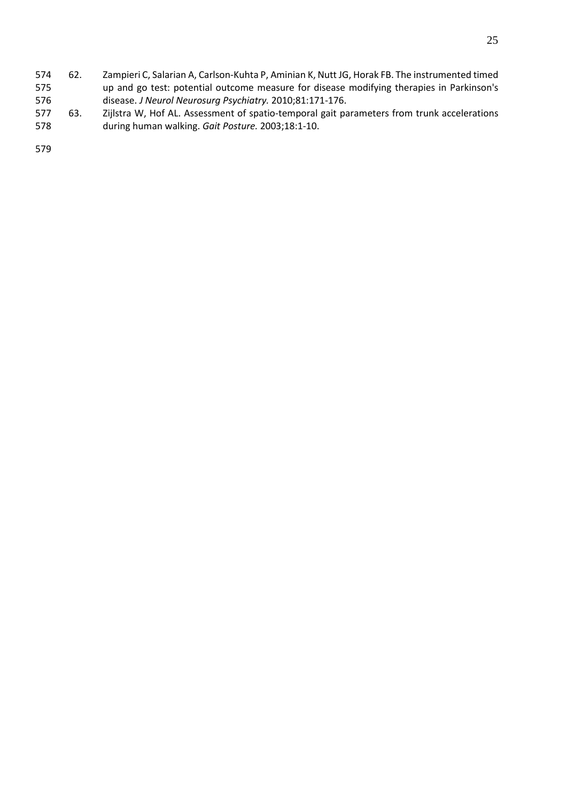- 62. Zampieri C, Salarian A, Carlson-Kuhta P, Aminian K, Nutt JG, Horak FB. The instrumented timed up and go test: potential outcome measure for disease modifying therapies in Parkinson's disease. *J Neurol Neurosurg Psychiatry.* 2010;81:171-176.
- 63. Zijlstra W, Hof AL. Assessment of spatio-temporal gait parameters from trunk accelerations during human walking. *Gait Posture.* 2003;18:1-10.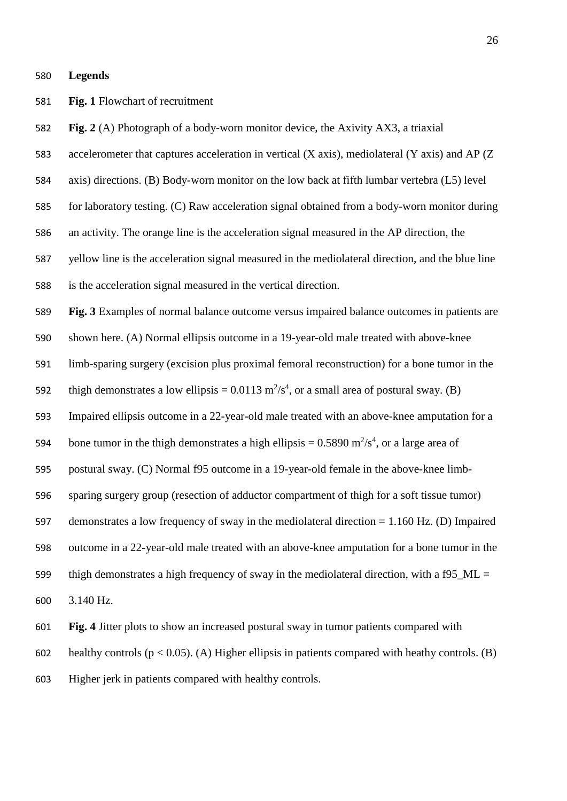#### **Legends**

**Fig. 1** Flowchart of recruitment

**Fig. 2** (A) Photograph of a body-worn monitor device, the Axivity AX3, a triaxial

accelerometer that captures acceleration in vertical (X axis), mediolateral (Y axis) and AP (Z

axis) directions. (B) Body-worn monitor on the low back at fifth lumbar vertebra (L5) level

for laboratory testing. (C) Raw acceleration signal obtained from a body-worn monitor during

an activity. The orange line is the acceleration signal measured in the AP direction, the

yellow line is the acceleration signal measured in the mediolateral direction, and the blue line

is the acceleration signal measured in the vertical direction.

**Fig. 3** Examples of normal balance outcome versus impaired balance outcomes in patients are

shown here. (A) Normal ellipsis outcome in a 19-year-old male treated with above-knee

limb-sparing surgery (excision plus proximal femoral reconstruction) for a bone tumor in the

592 thigh demonstrates a low ellipsis =  $0.0113 \text{ m}^2/\text{s}^4$ , or a small area of postural sway. (B)

Impaired ellipsis outcome in a 22-year-old male treated with an above-knee amputation for a

594 bone tumor in the thigh demonstrates a high ellipsis =  $0.5890 \text{ m}^2/\text{s}^4$ , or a large area of

postural sway. (C) Normal f95 outcome in a 19-year-old female in the above-knee limb-

sparing surgery group (resection of adductor compartment of thigh for a soft tissue tumor)

demonstrates a low frequency of sway in the mediolateral direction = 1.160 Hz. (D) Impaired

outcome in a 22-year-old male treated with an above-knee amputation for a bone tumor in the

599 thigh demonstrates a high frequency of sway in the mediolateral direction, with a f95\_ML =

3.140 Hz.

**Fig. 4** Jitter plots to show an increased postural sway in tumor patients compared with

602 healthy controls ( $p < 0.05$ ). (A) Higher ellipsis in patients compared with heathy controls. (B)

Higher jerk in patients compared with healthy controls.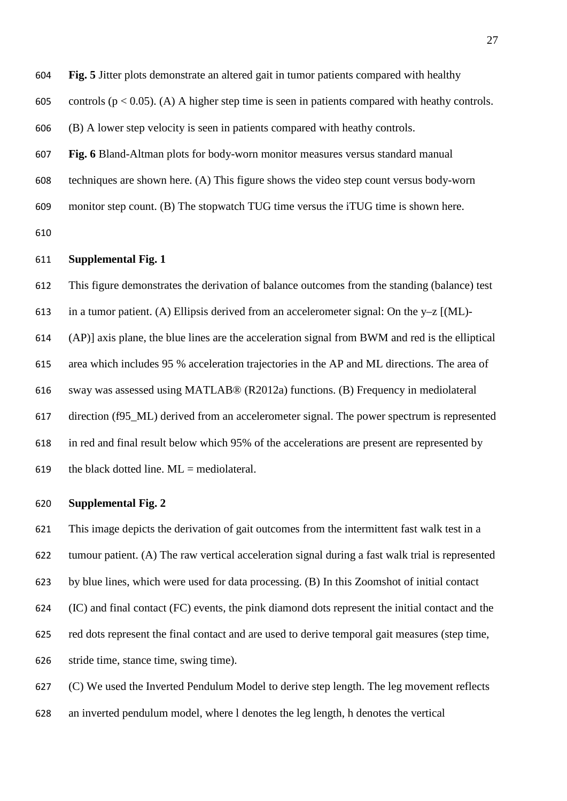**Fig. 5** Jitter plots demonstrate an altered gait in tumor patients compared with healthy

605 controls ( $p < 0.05$ ). (A) A higher step time is seen in patients compared with heathy controls.

(B) A lower step velocity is seen in patients compared with heathy controls.

- **Fig. 6** Bland-Altman plots for body-worn monitor measures versus standard manual
- techniques are shown here. (A) This figure shows the video step count versus body-worn

monitor step count. (B) The stopwatch TUG time versus the iTUG time is shown here.

#### **Supplemental Fig. 1**

 This figure demonstrates the derivation of balance outcomes from the standing (balance) test 613 in a tumor patient. (A) Ellipsis derived from an accelerometer signal: On the  $y-z$  [(ML)- (AP)] axis plane, the blue lines are the acceleration signal from BWM and red is the elliptical area which includes 95 % acceleration trajectories in the AP and ML directions. The area of sway was assessed using MATLAB® (R2012a) functions. (B) Frequency in mediolateral direction (f95\_ML) derived from an accelerometer signal. The power spectrum is represented in red and final result below which 95% of the accelerations are present are represented by 619 the black dotted line.  $ML =$  mediolateral.

# **Supplemental Fig. 2**

 This image depicts the derivation of gait outcomes from the intermittent fast walk test in a tumour patient. (A) The raw vertical acceleration signal during a fast walk trial is represented by blue lines, which were used for data processing. (B) In this Zoomshot of initial contact (IC) and final contact (FC) events, the pink diamond dots represent the initial contact and the red dots represent the final contact and are used to derive temporal gait measures (step time, stride time, stance time, swing time).

 (C) We used the Inverted Pendulum Model to derive step length. The leg movement reflects an inverted pendulum model, where l denotes the leg length, h denotes the vertical